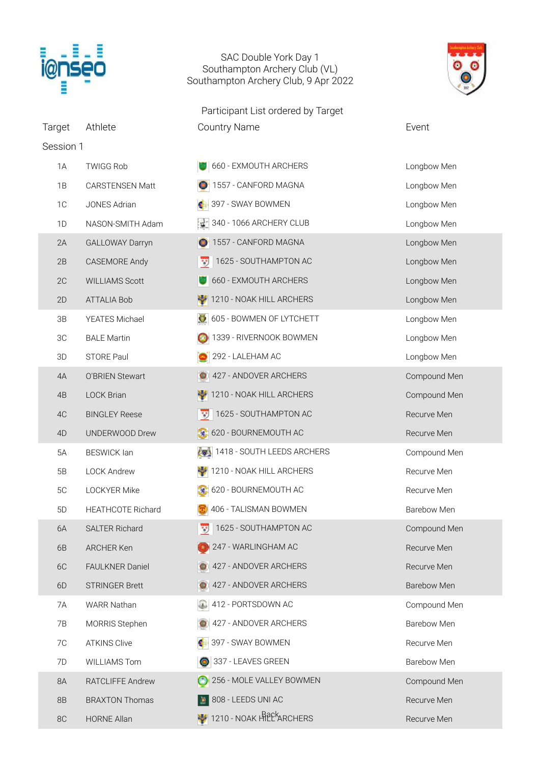

## SAC Double York Day 1 Southampton Archery Club (VL) Southampton Archery Club, 9 Apr 2022

Participant List ordered by Target Target Athlete Country Name Countre Country Name



| Session 1      |                          |                            |                    |
|----------------|--------------------------|----------------------------|--------------------|
| 1A             | <b>TWIGG Rob</b>         | 660 - EXMOUTH ARCHERS      | Longbow Men        |
| 1B             | <b>CARSTENSEN Matt</b>   | 1557 - CANFORD MAGNA       | Longbow Men        |
| 1C             | JONES Adrian             | 397 - SWAY BOWMEN          | Longbow Men        |
| 1D             | NASON-SMITH Adam         | 340 - 1066 ARCHERY CLUB    | Longbow Men        |
| 2A             | <b>GALLOWAY Darryn</b>   | 1557 - CANFORD MAGNA       | Longbow Men        |
| 2B             | <b>CASEMORE Andy</b>     | 1625 - SOUTHAMPTON AC      | Longbow Men        |
| 2C             | <b>WILLIAMS Scott</b>    | 660 - EXMOUTH ARCHERS      | Longbow Men        |
| 2D             | <b>ATTALIA Bob</b>       | 1210 - NOAK HILL ARCHERS   | Longbow Men        |
| 3B             | <b>YEATES Michael</b>    | 605 - BOWMEN OF LYTCHETT   | Longbow Men        |
| 3C             | <b>BALE Martin</b>       | 1339 - RIVERNOOK BOWMEN    | Longbow Men        |
| 3D             | STORE Paul               | 292 - LALEHAM AC           | Longbow Men        |
| 4A             | O'BRIEN Stewart          | 427 - ANDOVER ARCHERS      | Compound Men       |
| 4B             | <b>LOCK Brian</b>        | 1210 - NOAK HILL ARCHERS   | Compound Men       |
| 4C             | <b>BINGLEY Reese</b>     | 1625 - SOUTHAMPTON AC      | Recurve Men        |
| 4D             | UNDERWOOD Drew           | 620 - BOURNEMOUTH AC       | Recurve Men        |
| 5A             | <b>BESWICK lan</b>       | 1418 - SOUTH LEEDS ARCHERS | Compound Men       |
| 5B             | <b>LOCK Andrew</b>       | 1210 - NOAK HILL ARCHERS   | Recurve Men        |
| 5C             | LOCKYER Mike             | 620 - BOURNEMOUTH AC       | Recurve Men        |
| 5 <sub>D</sub> | <b>HEATHCOTE Richard</b> | 406 - TALISMAN BOWMEN      | Barebow Men        |
| 6A             | <b>SALTER Richard</b>    | 1625 - SOUTHAMPTON AC      | Compound Men       |
| 6B             | ARCHER Ken               | 247 - WARLINGHAM AC        | Recurve Men        |
| 6C             | FAULKNER Daniel          | 427 - ANDOVER ARCHERS      | Recurve Men        |
| 6D             | <b>STRINGER Brett</b>    | 427 - ANDOVER ARCHERS      | Barebow Men        |
| 7A             | <b>WARR Nathan</b>       | 412 - PORTSDOWN AC         | Compound Men       |
| 7B             | MORRIS Stephen           | 427 - ANDOVER ARCHERS      | <b>Barebow Men</b> |
| 7C             | <b>ATKINS Clive</b>      | 397 - SWAY BOWMEN          | Recurve Men        |
| 7D             | <b>WILLIAMS Tom</b>      | 337 - LEAVES GREEN         | Barebow Men        |
| 8A             | RATCLIFFE Andrew         | 256 - MOLE VALLEY BOWMEN   | Compound Men       |
| 8B             | <b>BRAXTON Thomas</b>    | 808 - LEEDS UNI AC         | Recurve Men        |
| 8C             | <b>HORNE Allan</b>       | 1210 - NOAK HILLERS        | Recurve Men        |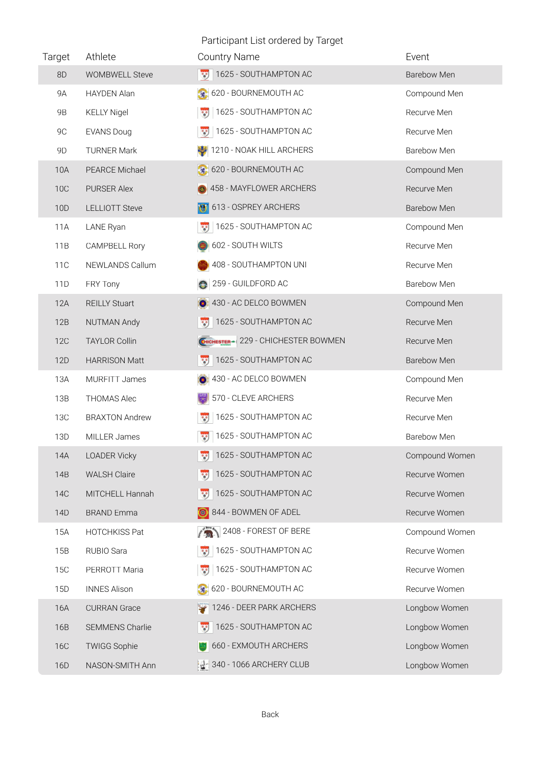Participant List ordered by Target

| Target     | Athlete                | <b>Country Name</b>                  | Event          |
|------------|------------------------|--------------------------------------|----------------|
| 8D         | <b>WOMBWELL Steve</b>  | 1625 - SOUTHAMPTON AC                | Barebow Men    |
| <b>9A</b>  | HAYDEN Alan            | 620 - BOURNEMOUTH AC                 | Compound Men   |
| <b>9B</b>  | <b>KELLY Nigel</b>     | 1625 - SOUTHAMPTON AC                | Recurve Men    |
| 9C         | <b>EVANS Doug</b>      | 1625 - SOUTHAMPTON AC                | Recurve Men    |
| 9D         | <b>TURNER Mark</b>     | 1210 - NOAK HILL ARCHERS             | Barebow Men    |
| 10A        | PEARCE Michael         | 620 - BOURNEMOUTH AC                 | Compound Men   |
| <b>10C</b> | PURSER Alex            | 458 - MAYFLOWER ARCHERS              | Recurve Men    |
| 10D        | <b>LELLIOTT Steve</b>  | 613 - OSPREY ARCHERS                 | Barebow Men    |
| 11A        | LANE Ryan              | 1625 - SOUTHAMPTON AC                | Compound Men   |
| 11B        | <b>CAMPBELL Rory</b>   | 602 - SOUTH WILTS                    | Recurve Men    |
| <b>11C</b> | NEWLANDS Callum        | 408 - SOUTHAMPTON UNI                | Recurve Men    |
| 11D        | FRY Tony               | 259 - GUILDFORD AC                   | Barebow Men    |
| <b>12A</b> | <b>REILLY Stuart</b>   | 430 - AC DELCO BOWMEN                | Compound Men   |
| 12B        | NUTMAN Andy            | 1625 - SOUTHAMPTON AC                | Recurve Men    |
| <b>12C</b> | <b>TAYLOR Collin</b>   | CHICHESTER - 229 - CHICHESTER BOWMEN | Recurve Men    |
| 12D        | <b>HARRISON Matt</b>   | 1625 - SOUTHAMPTON AC                | Barebow Men    |
| 13A        | <b>MURFITT James</b>   | 430 - AC DELCO BOWMEN                | Compound Men   |
| 13B        | <b>THOMAS Alec</b>     | 570 - CLEVE ARCHERS                  | Recurve Men    |
| <b>13C</b> | <b>BRAXTON Andrew</b>  | 1625 - SOUTHAMPTON AC                | Recurve Men    |
| 13D        | MILLER James           | 1625 - SOUTHAMPTON AC                | Barebow Men    |
| 14A        | <b>LOADER Vicky</b>    | 1625 - SOUTHAMPTON AC                | Compound Women |
| 14B        | <b>WALSH Claire</b>    | 1625 - SOUTHAMPTON AC                | Recurve Women  |
| <b>14C</b> | MITCHELL Hannah        | 1625 - SOUTHAMPTON AC                | Recurve Women  |
| 14D        | <b>BRAND Emma</b>      | 844 - BOWMEN OF ADEL                 | Recurve Women  |
| 15A        | <b>HOTCHKISS Pat</b>   | 2408 - FOREST OF BERE                | Compound Women |
| 15B        | RUBIO Sara             | 1625 - SOUTHAMPTON AC                | Recurve Women  |
| <b>15C</b> | PERROTT Maria          | 1625 - SOUTHAMPTON AC                | Recurve Women  |
| 15D        | <b>INNES Alison</b>    | 620 - BOURNEMOUTH AC                 | Recurve Women  |
| 16A        | <b>CURRAN Grace</b>    | 1246 - DEER PARK ARCHERS             | Longbow Women  |
| 16B        | <b>SEMMENS Charlie</b> | 1625 - SOUTHAMPTON AC                | Longbow Women  |
| <b>16C</b> | <b>TWIGG Sophie</b>    | 660 - EXMOUTH ARCHERS                | Longbow Women  |
| 16D        | NASON-SMITH Ann        | 340 - 1066 ARCHERY CLUB              | Longbow Women  |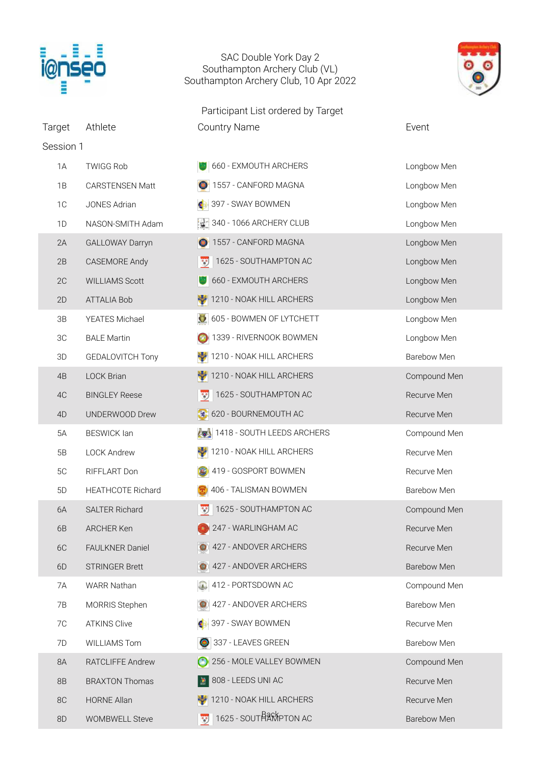

## SAC Double York Day 2 Southampton Archery Club (VL) Southampton Archery Club, 10 Apr 2022





Session 1 1A TWIGG Rob **660 - EXMOUTH ARCHERS** Longbow Men 1B CARSTENSEN Matt 1557 - CANFORD MAGNA Longbow Men 1C JONES Adrian 397 - SWAY BOWMEN Longbow Men 1D NASON-SMITH Adam 1340 - 1066 ARCHERY CLUB Longbow Men 2A GALLOWAY Darryn 1557 - CANFORD MAGNA Longbow Men 2B CASEMORE Andy 1625 - SOUTHAMPTON AC Longbow Men 2C WILLIAMS Scott 660 - EXMOUTH ARCHERS Longbow Men 2D ATTALIA Bob 1210 - NOAK HILL ARCHERS Longbow Men 3B YEATES Michael 605 - BOWMEN OF LYTCHETT CHECK Longbow Men 3C BALE Martin 1339 - RIVERNOOK BOWMEN Longbow Men 3D GEDALOVITCH Tony 1210 - NOAK HILL ARCHERS Barebow Men 4B LOCK Brian 1210 - NOAK HILL ARCHERS Compound Men 4C BINGLEY Reese 1625 - SOUTHAMPTON AC Recurve Men 4D UNDERWOOD Drew  $\sqrt{620 - 80}$  BOURNEMOUTH AC Recurve Men 5A BESWICK Ian 1418 - SOUTH LEEDS ARCHERS Compound Men 5B LOCK Andrew 1210 - NOAK HILL ARCHERS Recurve Men 5C RIFFLART Don 1419 - GOSPORT BOWMEN Recurve Men 5D HEATHCOTE Richard 1996 - TALISMAN BOWMEN BArebow Men 6A SALTER Richard 1625 - SOUTHAMPTON AC Compound Men 6B ARCHER Ken 247 - WARLINGHAM AC Recurve Men 6C FAULKNER Daniel **1989** 427 - ANDOVER ARCHERS Recurve Men 6D STRINGER Brett **427 - ANDOVER ARCHERS** Barebow Men 7A WARR Nathan 1980 | 412 - PORTSDOWN AC Compound Men 7B MORRIS Stephen 1427 - ANDOVER ARCHERS Barebow Men 7C ATKINS Clive 397 - SWAY BOWMEN Recurve Men 7D WILLIAMS Tom 337 - LEAVES GREEN Barebow Men 8A RATCLIFFE Andrew 256 - MOLE VALLEY BOWMEN Compound Men 8B BRAXTON Thomas 808 - LEEDS UNI AC 808 - Recurve Men 8C HORNE Allan 1210 - NOAK HILL ARCHERS Recurve Men 8D WOMBWELL Steve 1625 - SOUTHAMPTON AC Barebow Men